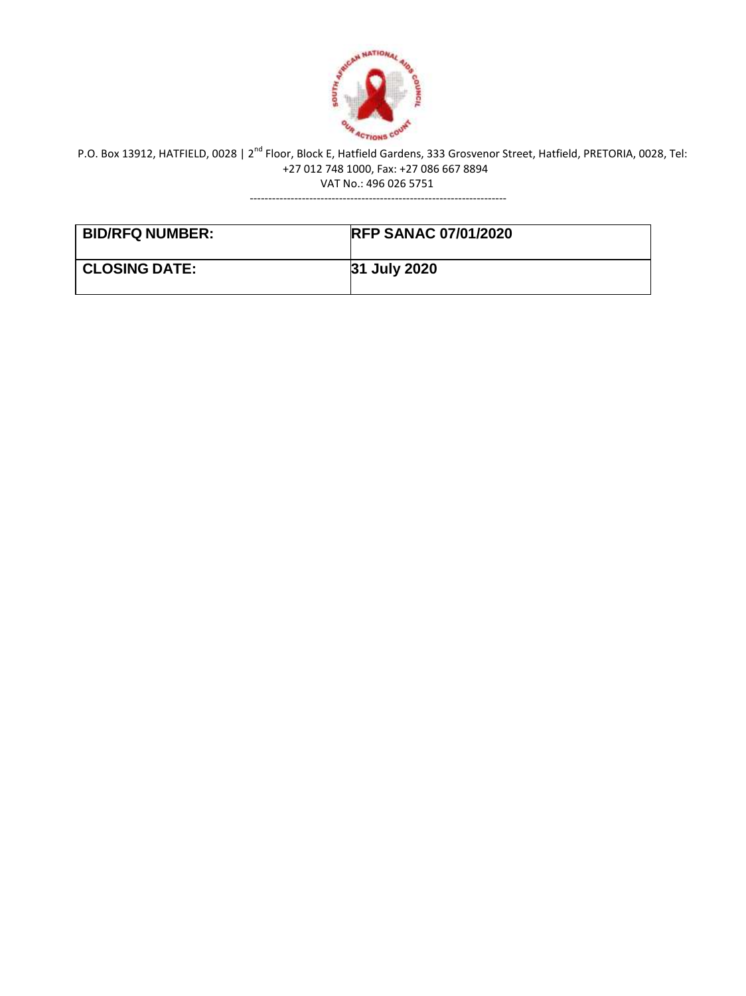

---------------------------------------------------------------------

| <b>BID/RFQ NUMBER:</b> | <b>RFP SANAC 07/01/2020</b> |
|------------------------|-----------------------------|
| <b>CLOSING DATE:</b>   | <b>31 July 2020</b>         |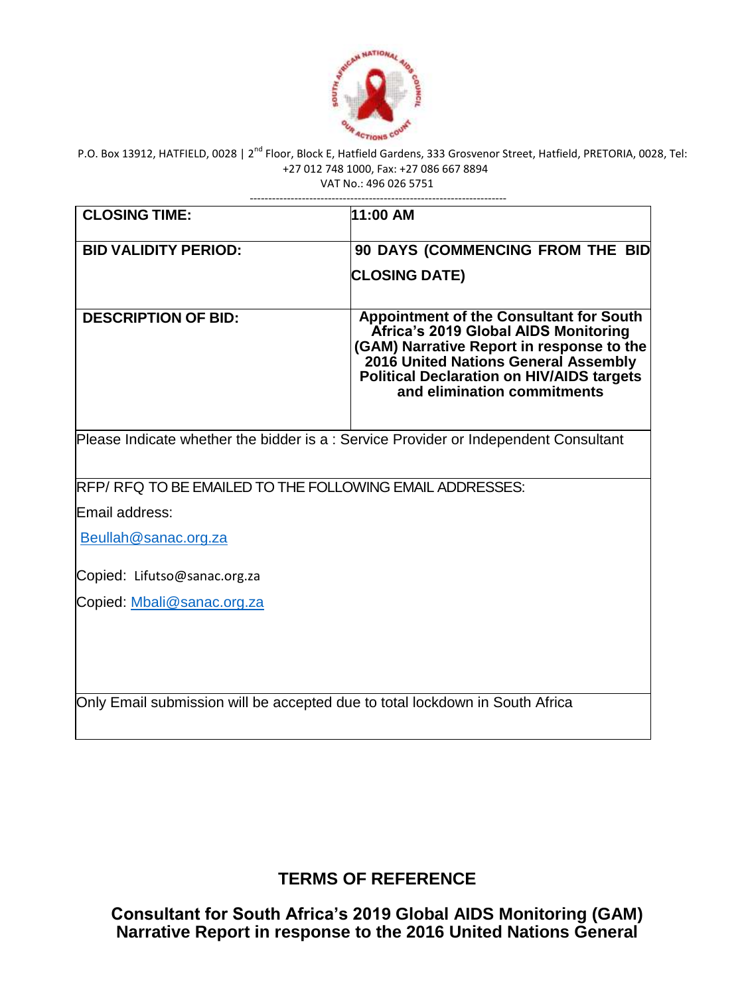

| <b>CLOSING TIME:</b>                                                                | 11:00 AM                                                                                                                                                                                                                                                       |
|-------------------------------------------------------------------------------------|----------------------------------------------------------------------------------------------------------------------------------------------------------------------------------------------------------------------------------------------------------------|
| <b>BID VALIDITY PERIOD:</b>                                                         | 90 DAYS (COMMENCING FROM THE BID                                                                                                                                                                                                                               |
|                                                                                     | <b>CLOSING DATE)</b>                                                                                                                                                                                                                                           |
| <b>DESCRIPTION OF BID:</b>                                                          | <b>Appointment of the Consultant for South</b><br>Africa's 2019 Global AIDS Monitoring<br>(GAM) Narrative Report in response to the<br>2016 United Nations General Assembly<br><b>Political Declaration on HIV/AIDS targets</b><br>and elimination commitments |
| Please Indicate whether the bidder is a: Service Provider or Independent Consultant |                                                                                                                                                                                                                                                                |
| RFP/RFQ TO BE EMAILED TO THE FOLLOWING EMAIL ADDRESSES:                             |                                                                                                                                                                                                                                                                |
| Email address:                                                                      |                                                                                                                                                                                                                                                                |
| Beullah@sanac.org.za                                                                |                                                                                                                                                                                                                                                                |
| Copied: Lifutso@sanac.org.za                                                        |                                                                                                                                                                                                                                                                |
| Copied: Mbali@sanac.org.za                                                          |                                                                                                                                                                                                                                                                |
|                                                                                     |                                                                                                                                                                                                                                                                |
| Only Email submission will be accepted due to total lockdown in South Africa        |                                                                                                                                                                                                                                                                |

**TERMS OF REFERENCE**

**Consultant for South Africa's 2019 Global AIDS Monitoring (GAM) Narrative Report in response to the 2016 United Nations General**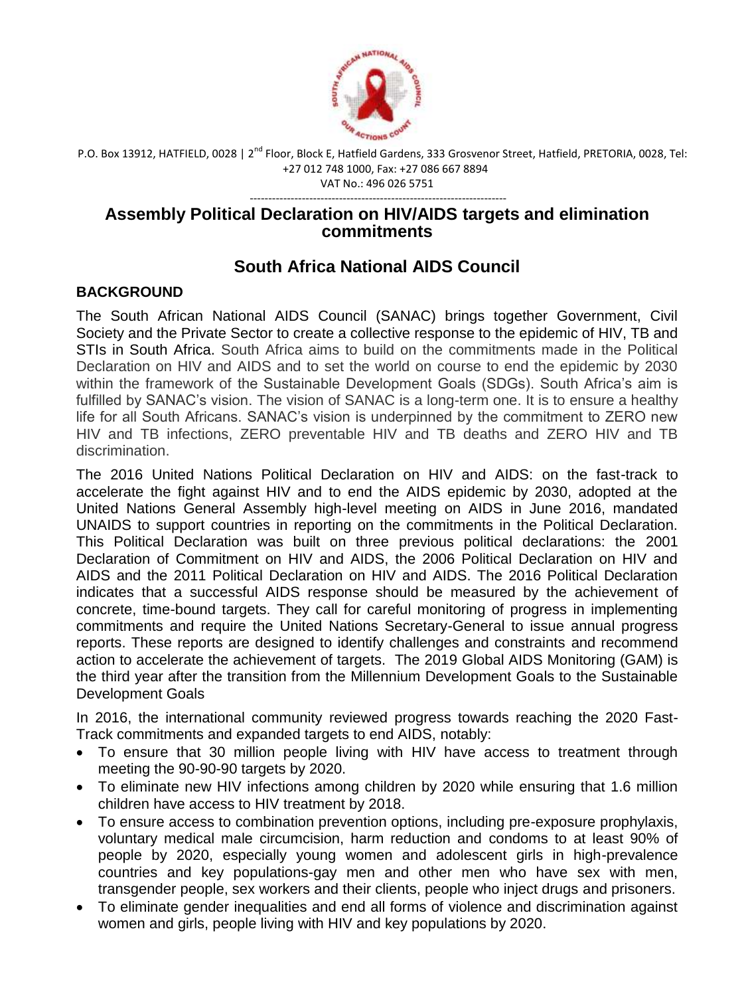

---------------------------------------------------------------------

# **Assembly Political Declaration on HIV/AIDS targets and elimination commitments**

# **South Africa National AIDS Council**

# **BACKGROUND**

The South African National AIDS Council (SANAC) brings together Government, Civil Society and the Private Sector to create a collective response to the epidemic of HIV, TB and STIs in South Africa. South Africa aims to build on the commitments made in the Political Declaration on HIV and AIDS and to set the world on course to end the epidemic by 2030 within the framework of the Sustainable Development Goals (SDGs). South Africa's aim is fulfilled by SANAC's vision. The vision of SANAC is a long-term one. It is to ensure a healthy life for all South Africans. SANAC's vision is underpinned by the commitment to ZERO new HIV and TB infections, ZERO preventable HIV and TB deaths and ZERO HIV and TB discrimination.

The 2016 United Nations Political Declaration on HIV and AIDS: on the fast-track to accelerate the fight against HIV and to end the AIDS epidemic by 2030, adopted at the United Nations General Assembly high-level meeting on AIDS in June 2016, mandated UNAIDS to support countries in reporting on the commitments in the Political Declaration. This Political Declaration was built on three previous political declarations: the 2001 Declaration of Commitment on HIV and AIDS, the 2006 Political Declaration on HIV and AIDS and the 2011 Political Declaration on HIV and AIDS. The 2016 Political Declaration indicates that a successful AIDS response should be measured by the achievement of concrete, time-bound targets. They call for careful monitoring of progress in implementing commitments and require the United Nations Secretary-General to issue annual progress reports. These reports are designed to identify challenges and constraints and recommend action to accelerate the achievement of targets. The 2019 Global AIDS Monitoring (GAM) is the third year after the transition from the Millennium Development Goals to the Sustainable Development Goals

In 2016, the international community reviewed progress towards reaching the 2020 Fast-Track commitments and expanded targets to end AIDS, notably:

- To ensure that 30 million people living with HIV have access to treatment through meeting the 90-90-90 targets by 2020.
- To eliminate new HIV infections among children by 2020 while ensuring that 1.6 million children have access to HIV treatment by 2018.
- To ensure access to combination prevention options, including pre-exposure prophylaxis, voluntary medical male circumcision, harm reduction and condoms to at least 90% of people by 2020, especially young women and adolescent girls in high-prevalence countries and key populations-gay men and other men who have sex with men, transgender people, sex workers and their clients, people who inject drugs and prisoners.
- To eliminate gender inequalities and end all forms of violence and discrimination against women and girls, people living with HIV and key populations by 2020.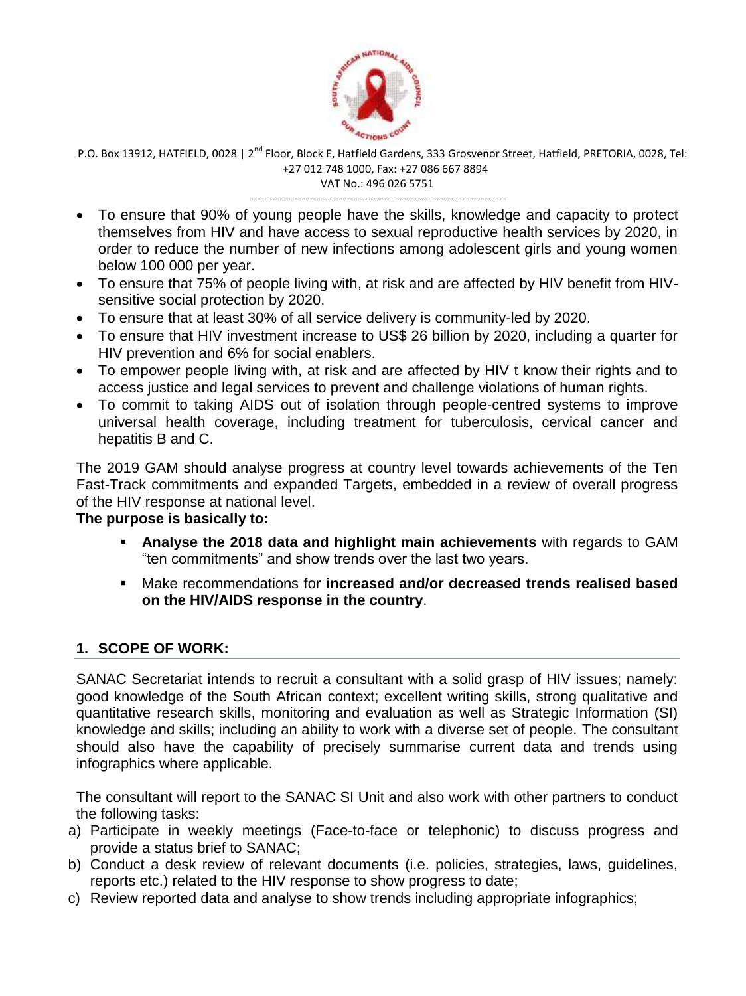

---------------------------------------------------------------------

- To ensure that 90% of young people have the skills, knowledge and capacity to protect themselves from HIV and have access to sexual reproductive health services by 2020, in order to reduce the number of new infections among adolescent girls and young women below 100 000 per year.
- To ensure that 75% of people living with, at risk and are affected by HIV benefit from HIVsensitive social protection by 2020.
- To ensure that at least 30% of all service delivery is community-led by 2020.
- To ensure that HIV investment increase to US\$ 26 billion by 2020, including a quarter for HIV prevention and 6% for social enablers.
- To empower people living with, at risk and are affected by HIV t know their rights and to access justice and legal services to prevent and challenge violations of human rights.
- To commit to taking AIDS out of isolation through people-centred systems to improve universal health coverage, including treatment for tuberculosis, cervical cancer and hepatitis B and C.

The 2019 GAM should analyse progress at country level towards achievements of the Ten Fast-Track commitments and expanded Targets, embedded in a review of overall progress of the HIV response at national level.

#### **The purpose is basically to:**

- **Analyse the 2018 data and highlight main achievements** with regards to GAM "ten commitments" and show trends over the last two years.
- Make recommendations for **increased and/or decreased trends realised based on the HIV/AIDS response in the country**.

## **1. SCOPE OF WORK:**

SANAC Secretariat intends to recruit a consultant with a solid grasp of HIV issues; namely: good knowledge of the South African context; excellent writing skills, strong qualitative and quantitative research skills, monitoring and evaluation as well as Strategic Information (SI) knowledge and skills; including an ability to work with a diverse set of people. The consultant should also have the capability of precisely summarise current data and trends using infographics where applicable.

The consultant will report to the SANAC SI Unit and also work with other partners to conduct the following tasks:

- a) Participate in weekly meetings (Face-to-face or telephonic) to discuss progress and provide a status brief to SANAC;
- b) Conduct a desk review of relevant documents (i.e. policies, strategies, laws, guidelines, reports etc.) related to the HIV response to show progress to date;
- c) Review reported data and analyse to show trends including appropriate infographics;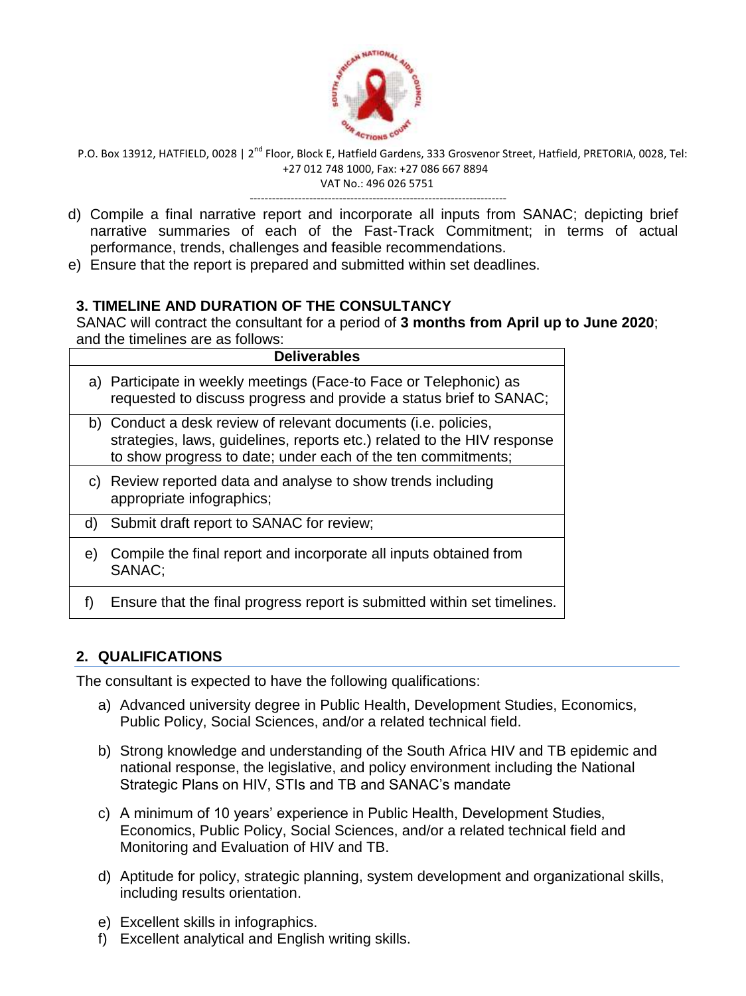

---------------------------------------------------------------------

- d) Compile a final narrative report and incorporate all inputs from SANAC; depicting brief narrative summaries of each of the Fast-Track Commitment; in terms of actual performance, trends, challenges and feasible recommendations.
- e) Ensure that the report is prepared and submitted within set deadlines.

# **3. TIMELINE AND DURATION OF THE CONSULTANCY**

SANAC will contract the consultant for a period of **3 months from April up to June 2020**; and the timelines are as follows:

|    | <b>Deliverables</b>                                                                                                                                                                                       |
|----|-----------------------------------------------------------------------------------------------------------------------------------------------------------------------------------------------------------|
|    | a) Participate in weekly meetings (Face-to Face or Telephonic) as<br>requested to discuss progress and provide a status brief to SANAC;                                                                   |
|    | b) Conduct a desk review of relevant documents (i.e. policies,<br>strategies, laws, guidelines, reports etc.) related to the HIV response<br>to show progress to date; under each of the ten commitments; |
|    | c) Review reported data and analyse to show trends including<br>appropriate infographics;                                                                                                                 |
| d) | Submit draft report to SANAC for review;                                                                                                                                                                  |
| e) | Compile the final report and incorporate all inputs obtained from<br>SANAC:                                                                                                                               |
|    | Ensure that the final progress report is submitted within set timelines.                                                                                                                                  |

# **2. QUALIFICATIONS**

The consultant is expected to have the following qualifications:

- a) Advanced university degree in Public Health, Development Studies, Economics, Public Policy, Social Sciences, and/or a related technical field.
- b) Strong knowledge and understanding of the South Africa HIV and TB epidemic and national response, the legislative, and policy environment including the National Strategic Plans on HIV, STIs and TB and SANAC's mandate
- c) A minimum of 10 years' experience in Public Health, Development Studies, Economics, Public Policy, Social Sciences, and/or a related technical field and Monitoring and Evaluation of HIV and TB.
- d) Aptitude for policy, strategic planning, system development and organizational skills, including results orientation.
- e) Excellent skills in infographics.
- f) Excellent analytical and English writing skills.